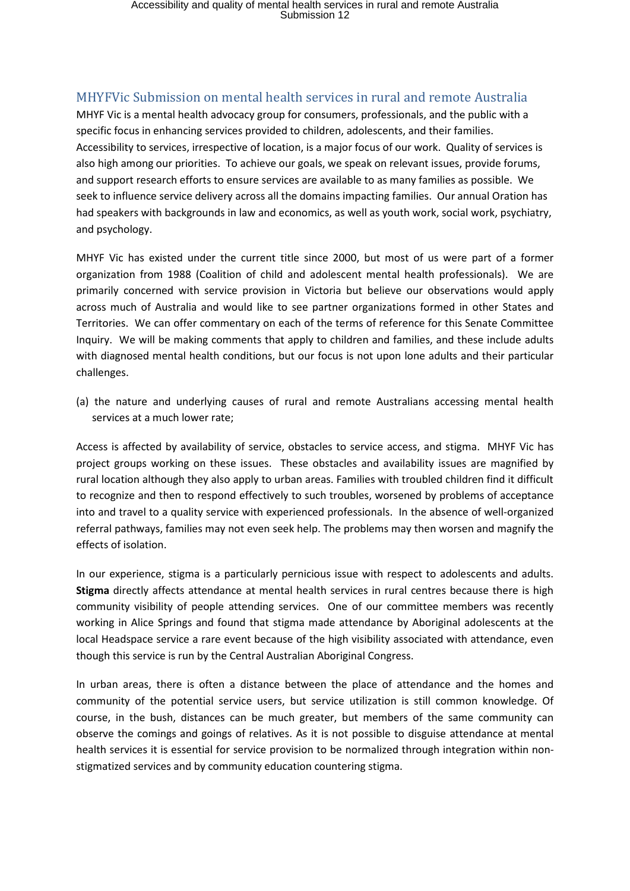## Accessibility and quality of mental health services in rural and remote Australia Submission 12

## MHYFVic Submission on mental health services in rural and remote Australia

MHYF Vic is a mental health advocacy group for consumers, professionals, and the public with a specific focus in enhancing services provided to children, adolescents, and their families. Accessibility to services, irrespective of location, is a major focus of our work. Quality of services is also high among our priorities. To achieve our goals, we speak on relevant issues, provide forums, and support research efforts to ensure services are available to as many families as possible. We seek to influence service delivery across all the domains impacting families. Our annual Oration has had speakers with backgrounds in law and economics, as well as youth work, social work, psychiatry, and psychology.

MHYF Vic has existed under the current title since 2000, but most of us were part of a former organization from 1988 (Coalition of child and adolescent mental health professionals). We are primarily concerned with service provision in Victoria but believe our observations would apply across much of Australia and would like to see partner organizations formed in other States and Territories. We can offer commentary on each of the terms of reference for this Senate Committee Inquiry. We will be making comments that apply to children and families, and these include adults with diagnosed mental health conditions, but our focus is not upon lone adults and their particular challenges.

(a) the nature and underlying causes of rural and remote Australians accessing mental health services at a much lower rate;

Access is affected by availability of service, obstacles to service access, and stigma. MHYF Vic has project groups working on these issues. These obstacles and availability issues are magnified by rural location although they also apply to urban areas. Families with troubled children find it difficult to recognize and then to respond effectively to such troubles, worsened by problems of acceptance into and travel to a quality service with experienced professionals. In the absence of well-organized referral pathways, families may not even seek help. The problems may then worsen and magnify the effects of isolation.

In our experience, stigma is a particularly pernicious issue with respect to adolescents and adults. **Stigma** directly affects attendance at mental health services in rural centres because there is high community visibility of people attending services. One of our committee members was recently working in Alice Springs and found that stigma made attendance by Aboriginal adolescents at the local Headspace service a rare event because of the high visibility associated with attendance, even though this service is run by the Central Australian Aboriginal Congress.

In urban areas, there is often a distance between the place of attendance and the homes and community of the potential service users, but service utilization is still common knowledge. Of course, in the bush, distances can be much greater, but members of the same community can observe the comings and goings of relatives. As it is not possible to disguise attendance at mental health services it is essential for service provision to be normalized through integration within nonstigmatized services and by community education countering stigma.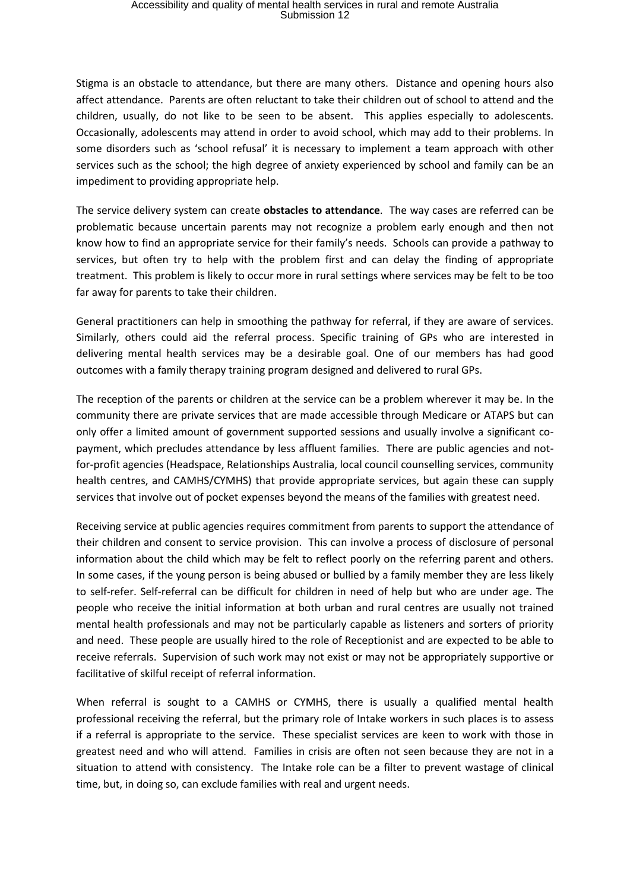Stigma is an obstacle to attendance, but there are many others. Distance and opening hours also affect attendance. Parents are often reluctant to take their children out of school to attend and the children, usually, do not like to be seen to be absent. This applies especially to adolescents. Occasionally, adolescents may attend in order to avoid school, which may add to their problems. In some disorders such as 'school refusal' it is necessary to implement a team approach with other services such as the school; the high degree of anxiety experienced by school and family can be an impediment to providing appropriate help.

The service delivery system can create **obstacles to attendance**. The way cases are referred can be problematic because uncertain parents may not recognize a problem early enough and then not know how to find an appropriate service for their family's needs. Schools can provide a pathway to services, but often try to help with the problem first and can delay the finding of appropriate treatment. This problem is likely to occur more in rural settings where services may be felt to be too far away for parents to take their children.

General practitioners can help in smoothing the pathway for referral, if they are aware of services. Similarly, others could aid the referral process. Specific training of GPs who are interested in delivering mental health services may be a desirable goal. One of our members has had good outcomes with a family therapy training program designed and delivered to rural GPs.

The reception of the parents or children at the service can be a problem wherever it may be. In the community there are private services that are made accessible through Medicare or ATAPS but can only offer a limited amount of government supported sessions and usually involve a significant copayment, which precludes attendance by less affluent families. There are public agencies and notfor-profit agencies (Headspace, Relationships Australia, local council counselling services, community health centres, and CAMHS/CYMHS) that provide appropriate services, but again these can supply services that involve out of pocket expenses beyond the means of the families with greatest need.

Receiving service at public agencies requires commitment from parents to support the attendance of their children and consent to service provision. This can involve a process of disclosure of personal information about the child which may be felt to reflect poorly on the referring parent and others. In some cases, if the young person is being abused or bullied by a family member they are less likely to self-refer. Self-referral can be difficult for children in need of help but who are under age. The people who receive the initial information at both urban and rural centres are usually not trained mental health professionals and may not be particularly capable as listeners and sorters of priority and need. These people are usually hired to the role of Receptionist and are expected to be able to receive referrals. Supervision of such work may not exist or may not be appropriately supportive or facilitative of skilful receipt of referral information.

When referral is sought to a CAMHS or CYMHS, there is usually a qualified mental health professional receiving the referral, but the primary role of Intake workers in such places is to assess if a referral is appropriate to the service. These specialist services are keen to work with those in greatest need and who will attend. Families in crisis are often not seen because they are not in a situation to attend with consistency. The Intake role can be a filter to prevent wastage of clinical time, but, in doing so, can exclude families with real and urgent needs.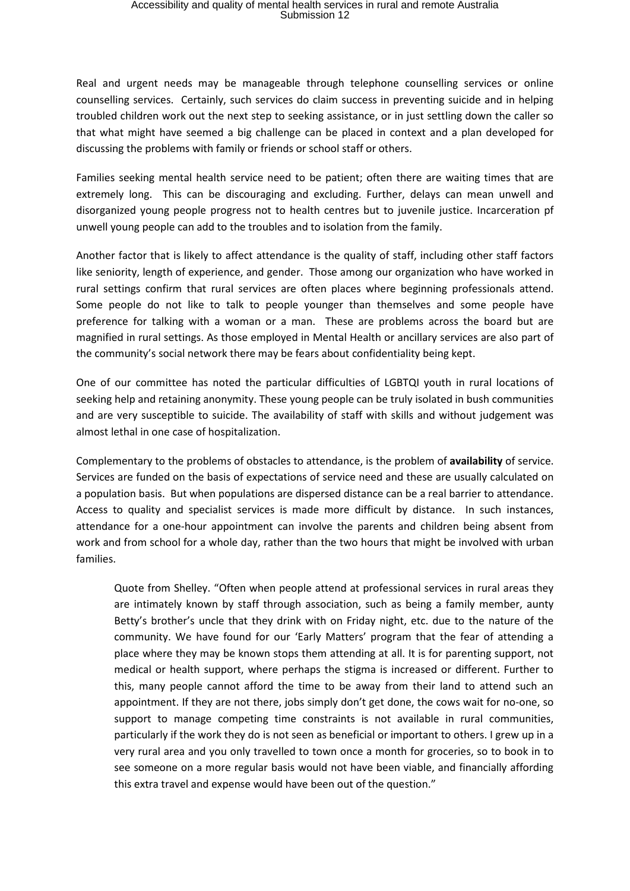## Accessibility and quality of mental health services in rural and remote Australia Submission 12

Real and urgent needs may be manageable through telephone counselling services or online counselling services. Certainly, such services do claim success in preventing suicide and in helping troubled children work out the next step to seeking assistance, or in just settling down the caller so that what might have seemed a big challenge can be placed in context and a plan developed for discussing the problems with family or friends or school staff or others.

Families seeking mental health service need to be patient; often there are waiting times that are extremely long. This can be discouraging and excluding. Further, delays can mean unwell and disorganized young people progress not to health centres but to juvenile justice. Incarceration pf unwell young people can add to the troubles and to isolation from the family.

Another factor that is likely to affect attendance is the quality of staff, including other staff factors like seniority, length of experience, and gender. Those among our organization who have worked in rural settings confirm that rural services are often places where beginning professionals attend. Some people do not like to talk to people younger than themselves and some people have preference for talking with a woman or a man. These are problems across the board but are magnified in rural settings. As those employed in Mental Health or ancillary services are also part of the community's social network there may be fears about confidentiality being kept.

One of our committee has noted the particular difficulties of LGBTQI youth in rural locations of seeking help and retaining anonymity. These young people can be truly isolated in bush communities and are very susceptible to suicide. The availability of staff with skills and without judgement was almost lethal in one case of hospitalization.

Complementary to the problems of obstacles to attendance, is the problem of **availability** of service. Services are funded on the basis of expectations of service need and these are usually calculated on a population basis. But when populations are dispersed distance can be a real barrier to attendance. Access to quality and specialist services is made more difficult by distance. In such instances, attendance for a one-hour appointment can involve the parents and children being absent from work and from school for a whole day, rather than the two hours that might be involved with urban families.

Quote from Shelley. "Often when people attend at professional services in rural areas they are intimately known by staff through association, such as being a family member, aunty Betty's brother's uncle that they drink with on Friday night, etc. due to the nature of the community. We have found for our 'Early Matters' program that the fear of attending a place where they may be known stops them attending at all. It is for parenting support, not medical or health support, where perhaps the stigma is increased or different. Further to this, many people cannot afford the time to be away from their land to attend such an appointment. If they are not there, jobs simply don't get done, the cows wait for no-one, so support to manage competing time constraints is not available in rural communities, particularly if the work they do is not seen as beneficial or important to others. I grew up in a very rural area and you only travelled to town once a month for groceries, so to book in to see someone on a more regular basis would not have been viable, and financially affording this extra travel and expense would have been out of the question."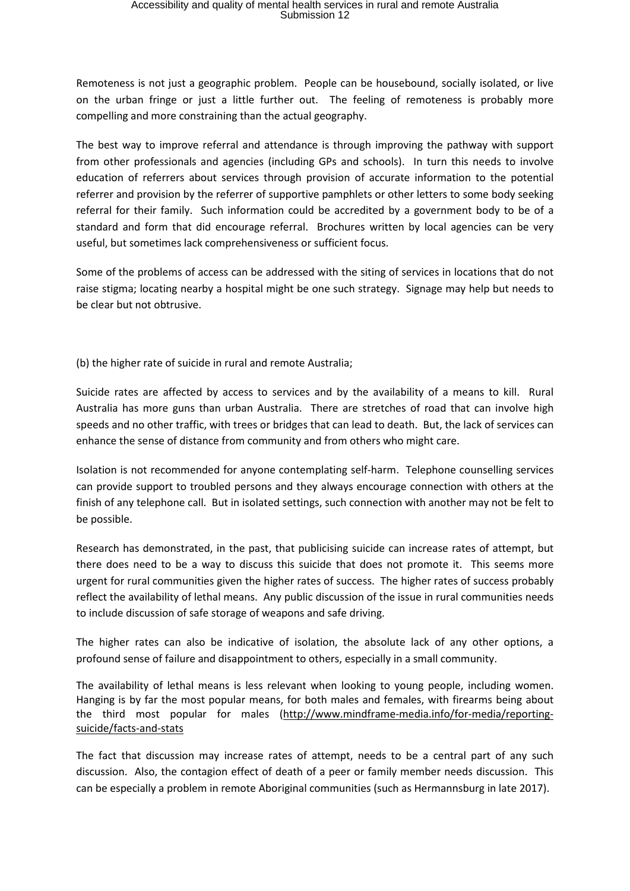Remoteness is not just a geographic problem. People can be housebound, socially isolated, or live on the urban fringe or just a little further out. The feeling of remoteness is probably more compelling and more constraining than the actual geography.

The best way to improve referral and attendance is through improving the pathway with support from other professionals and agencies (including GPs and schools). In turn this needs to involve education of referrers about services through provision of accurate information to the potential referrer and provision by the referrer of supportive pamphlets or other letters to some body seeking referral for their family. Such information could be accredited by a government body to be of a standard and form that did encourage referral. Brochures written by local agencies can be very useful, but sometimes lack comprehensiveness or sufficient focus.

Some of the problems of access can be addressed with the siting of services in locations that do not raise stigma; locating nearby a hospital might be one such strategy. Signage may help but needs to be clear but not obtrusive.

(b) the higher rate of suicide in rural and remote Australia;

Suicide rates are affected by access to services and by the availability of a means to kill. Rural Australia has more guns than urban Australia. There are stretches of road that can involve high speeds and no other traffic, with trees or bridges that can lead to death. But, the lack of services can enhance the sense of distance from community and from others who might care.

Isolation is not recommended for anyone contemplating self-harm. Telephone counselling services can provide support to troubled persons and they always encourage connection with others at the finish of any telephone call. But in isolated settings, such connection with another may not be felt to be possible.

Research has demonstrated, in the past, that publicising suicide can increase rates of attempt, but there does need to be a way to discuss this suicide that does not promote it. This seems more urgent for rural communities given the higher rates of success. The higher rates of success probably reflect the availability of lethal means. Any public discussion of the issue in rural communities needs to include discussion of safe storage of weapons and safe driving.

The higher rates can also be indicative of isolation, the absolute lack of any other options, a profound sense of failure and disappointment to others, especially in a small community.

The availability of lethal means is less relevant when looking to young people, including women. Hanging is by far the most popular means, for both males and females, with firearms being about the third most popular for males [\(http://www.mindframe-media.info/for-media/reporting](http://www.mindframe-media.info/for-media/reporting-suicide/facts-and-stats)[suicide/facts-and-stats](http://www.mindframe-media.info/for-media/reporting-suicide/facts-and-stats)

The fact that discussion may increase rates of attempt, needs to be a central part of any such discussion. Also, the contagion effect of death of a peer or family member needs discussion. This can be especially a problem in remote Aboriginal communities (such as Hermannsburg in late 2017).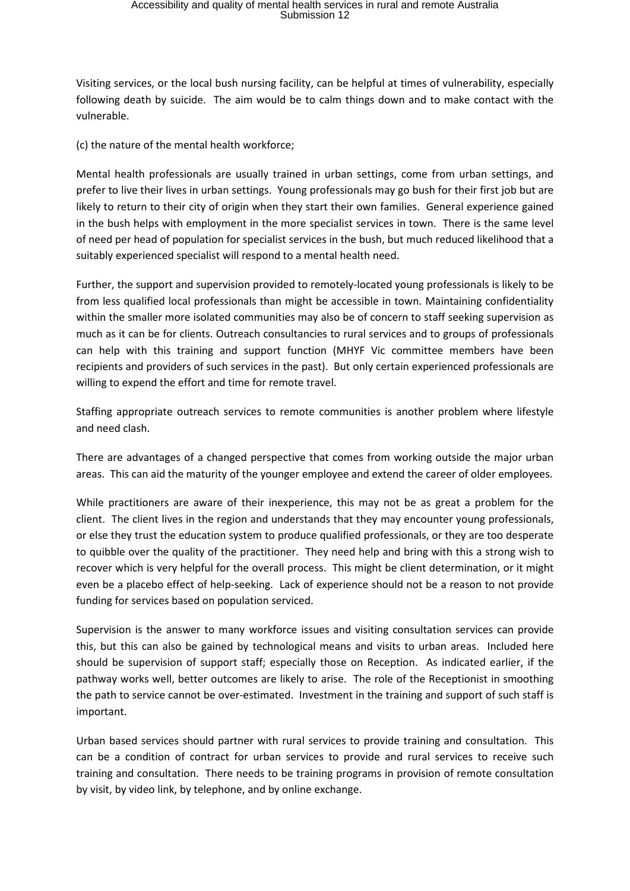Visiting services, or the local bush nursing facility, can be helpful at times of vulnerability, especially following death by suicide. The aim would be to calm things down and to make contact with the vulnerable.

(c) the nature of the mental health workforce;

Mental health professionals are usually trained in urban settings, come from urban settings, and prefer to live their lives in urban settings. Young professionals may go bush for their first job but are likely to return to their city of origin when they start their own families. General experience gained in the bush helps with employment in the more specialist services in town. There is the same level of need per head of population for specialist services in the bush, but much reduced likelihood that a suitably experienced specialist will respond to a mental health need.

Further, the support and supervision provided to remotely-located young professionals is likely to be from less qualified local professionals than might be accessible in town. Maintaining confidentiality within the smaller more isolated communities may also be of concern to staff seeking supervision as much as it can be for clients. Outreach consultancies to rural services and to groups of professionals can help with this training and support function (MHYF Vic committee members have been recipients and providers of such services in the past). But only certain experienced professionals are willing to expend the effort and time for remote travel.

Staffing appropriate outreach services to remote communities is another problem where lifestyle and need clash.

There are advantages of a changed perspective that comes from working outside the major urban areas. This can aid the maturity of the younger employee and extend the career of older employees.

While practitioners are aware of their inexperience, this may not be as great a problem for the client. The client lives in the region and understands that they may encounter young professionals, or else they trust the education system to produce qualified professionals, or they are too desperate to quibble over the quality of the practitioner. They need help and bring with this a strong wish to recover which is very helpful for the overall process. This might be client determination, or it might even be a placebo effect of help-seeking. Lack of experience should not be a reason to not provide funding for services based on population serviced.

Supervision is the answer to many workforce issues and visiting consultation services can provide this, but this can also be gained by technological means and visits to urban areas. Included here should be supervision of support staff; especially those on Reception. As indicated earlier, if the pathway works well, better outcomes are likely to arise. The role of the Receptionist in smoothing the path to service cannot be over-estimated. Investment in the training and support of such staff is important.

Urban based services should partner with rural services to provide training and consultation. This can be a condition of contract for urban services to provide and rural services to receive such training and consultation. There needs to be training programs in provision of remote consultation by visit, by video link, by telephone, and by online exchange.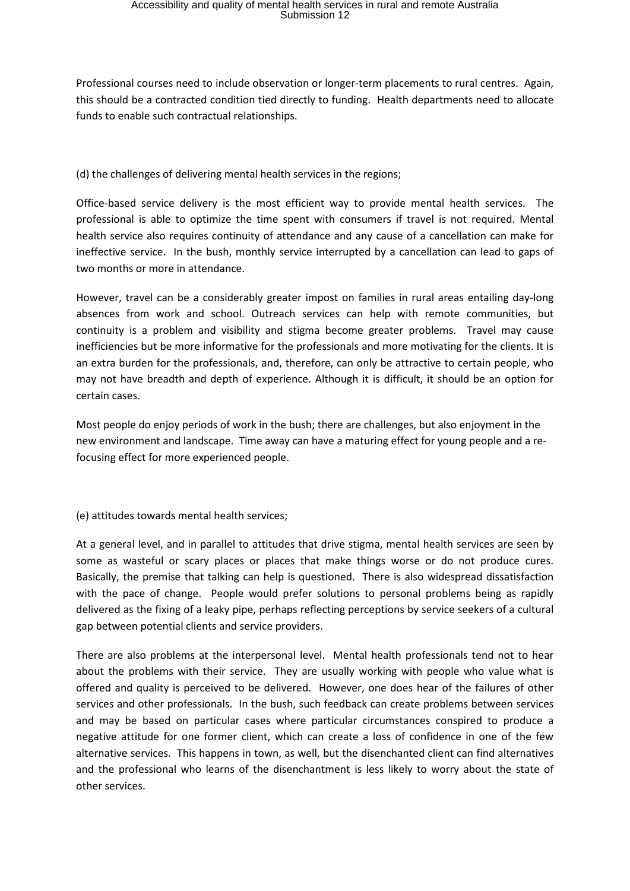Professional courses need to include observation or longer-term placements to rural centres. Again, this should be a contracted condition tied directly to funding. Health departments need to allocate funds to enable such contractual relationships.

(d) the challenges of delivering mental health services in the regions;

Office-based service delivery is the most efficient way to provide mental health services. The professional is able to optimize the time spent with consumers if travel is not required. Mental health service also requires continuity of attendance and any cause of a cancellation can make for ineffective service. In the bush, monthly service interrupted by a cancellation can lead to gaps of two months or more in attendance.

However, travel can be a considerably greater impost on families in rural areas entailing day-long absences from work and school. Outreach services can help with remote communities, but continuity is a problem and visibility and stigma become greater problems. Travel may cause inefficiencies but be more informative for the professionals and more motivating for the clients. It is an extra burden for the professionals, and, therefore, can only be attractive to certain people, who may not have breadth and depth of experience. Although it is difficult, it should be an option for certain cases.

Most people do enjoy periods of work in the bush; there are challenges, but also enjoyment in the new environment and landscape. Time away can have a maturing effect for young people and a refocusing effect for more experienced people.

(e) attitudes towards mental health services;

At a general level, and in parallel to attitudes that drive stigma, mental health services are seen by some as wasteful or scary places or places that make things worse or do not produce cures. Basically, the premise that talking can help is questioned. There is also widespread dissatisfaction with the pace of change. People would prefer solutions to personal problems being as rapidly delivered as the fixing of a leaky pipe, perhaps reflecting perceptions by service seekers of a cultural gap between potential clients and service providers.

There are also problems at the interpersonal level. Mental health professionals tend not to hear about the problems with their service. They are usually working with people who value what is offered and quality is perceived to be delivered. However, one does hear of the failures of other services and other professionals. In the bush, such feedback can create problems between services and may be based on particular cases where particular circumstances conspired to produce a negative attitude for one former client, which can create a loss of confidence in one of the few alternative services. This happens in town, as well, but the disenchanted client can find alternatives and the professional who learns of the disenchantment is less likely to worry about the state of other services.